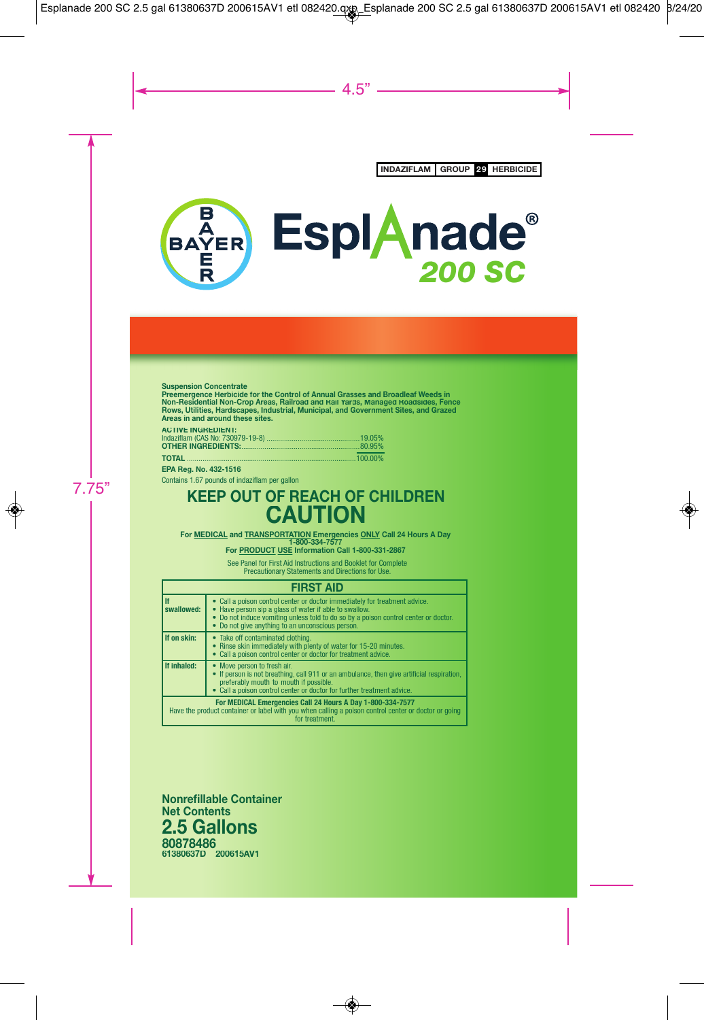

Non-Residential Non-Crop Areas, Railroad and Rail Yards, Managed Roadsides, Fenc<br>Rows, Utilities, Hardscapes, Industrial, Municipal, and Government Sites, and Grazed<br>Areas in and around these sites. Suspension Concentrate<br>Preemergence Herbicide for the Control of Annual Grasses and Broadleaf Weeds in **oad and Rail Yar s, Fence Areas in and around these sites.** 

### **: ACTIVE INGREDIENT**

| ____ |
|------|

**A Reg. No. 432-1516 A EP g**

Contains 1.67 pounds of indaziflam per gallon

## **KEEP OUT OF REACH OF CHILDRE EN CAUTION**

**For <u>MEDICAL</u> and <u>TRANSPORTATION</u> Emergencies <u>ONLY</u> Call 24 Hours A Day<br>1-800-334-7577** 

**For PRODU CT USE Information Call 1-800-331-2867**

Precaut tionary Statements and Directions for Use. See Panel for First Aid Instructions and Booklet for Complete

#### **FIRST AID**

| l If<br>swallowed:                                                                                                                                                                   | • Call a poison control center or doctor immediately for treatment advice.<br>• Have person sip a glass of water if able to swallow.<br>• Do not induce vomiting unless told to do so by a poison control center or doctor.<br>• Do not give anything to an unconscious person. |
|--------------------------------------------------------------------------------------------------------------------------------------------------------------------------------------|---------------------------------------------------------------------------------------------------------------------------------------------------------------------------------------------------------------------------------------------------------------------------------|
| If on skin:                                                                                                                                                                          | • Take off contaminated clothing.<br>• Rinse skin immediately with plenty of water for 15-20 minutes.<br>• Call a poison control center or doctor for treatment advice.                                                                                                         |
| If inhaled:                                                                                                                                                                          | • Move person to fresh air.<br>• If person is not breathing, call 911 or an ambulance, then give artificial respiration,<br>preferably mouth-to-mouth if possible.<br>• Call a poison control center or doctor for further treatment advice.                                    |
| For MEDICAL Emergencies Call 24 Hours A Day 1-800-334-7577<br>Have the product container or label with you when calling a poison control center or doctor or going<br>for treatment. |                                                                                                                                                                                                                                                                                 |

**Nonrefillable Contain ner 2.5 Gallons Net Contents V1 61380637D 200615A 80878486**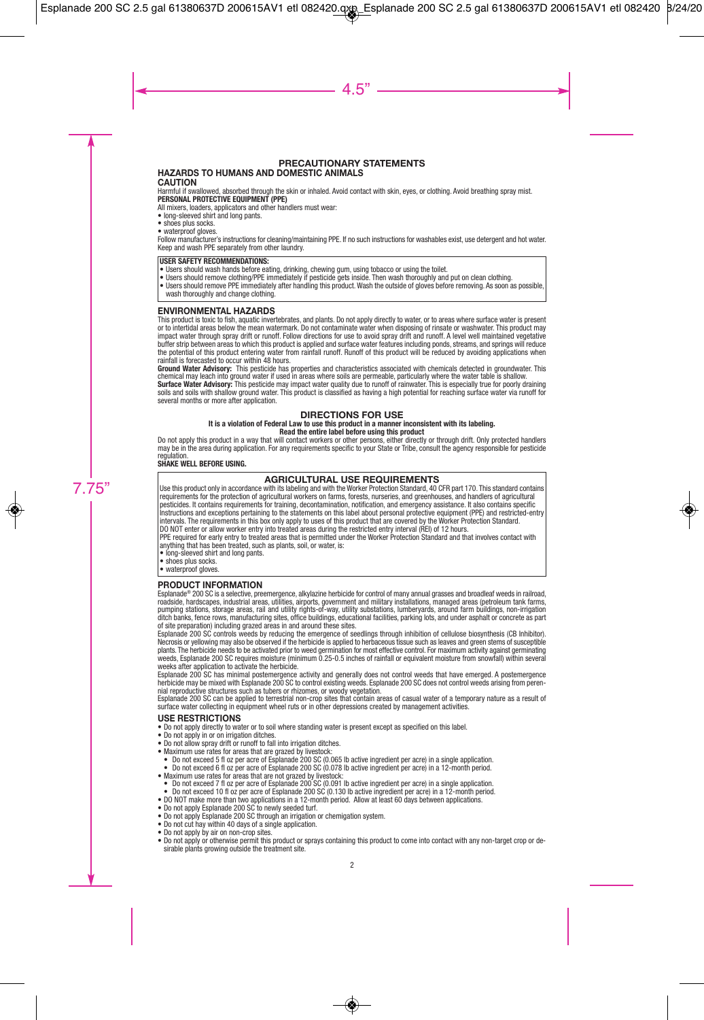## **PRECAUTIONARY STATEMENTS**

### **HAZARDS TO HUMANS AND DOMESTIC ANIMALS**

#### **CAUTION**

Harmful if swallowed, absorbed through the skin or inhaled. Avoid contact with skin, eyes, or clothing. Avoid breathing spray mist. **PERSONAL PROTECTIVE EQUIPMENT (PPE)**

All mixers, loaders, applicators and other handlers must wear:

- long-sleeved shirt and long pants.
- shoes plus socks.
- waterproof gloves.

Follow manufacturer's instructions for cleaning/maintaining PPE. If no such instructions for washables exist, use detergent and hot water. Keep and wash PPE separately from other laundry.

#### **USER SAFETY RECOMMENDATIONS:**

- Users should wash hands before eating, drinking, chewing gum, using tobacco or using the toilet.
- Users should remove clothing/PPE immediately if pesticide gets inside. Then wash thoroughly and put on clean clothing.
- Users should remove PPE immediately after handling this product. Wash the outside of gloves before removing. As soon as possible, wash thoroughly and change clothing.

#### **ENVIRONMENTAL HAZARDS**

This product is toxic to fish, aquatic invertebrates, and plants. Do not apply directly to water, or to areas where surface water is present or to intertidal areas below the mean watermark. Do not contaminate water when disposing of rinsate or washwater. This product may impact water through spray drift or runoff. Follow directions for use to avoid spray drift and runoff. A level well maintained vegetative buffer strip between areas to which this product is applied and surface water features including ponds, streams, and springs will reduce the potential of this product entering water from rainfall runoff. Runoff of this product will be reduced by avoiding applications when rainfall is forecasted to occur within 48 hours.

**Ground Water Advisory:** This pesticide has properties and characteristics associated with chemicals detected in groundwater. This chemical may leach into ground water if used in areas where soils are permeable, particularly where the water table is shallow.

**Surface Water Advisory:** This pesticide may impact water quality due to runoff of rainwater. This is especially true for poorly draining soils and soils with shallow ground water. This product is classified as having a high potential for reaching surface water via runoff for several months or more after application.

#### **DIRECTIONS FOR USE**

#### **It is a violation of Federal Law to use this product in a manner inconsistent with its labeling. Read the entire label before using this product**

Do not apply this product in a way that will contact workers or other persons, either directly or through drift. Only protected handlers may be in the area during application. For any requirements specific to your State or Tribe, consult the agency responsible for pesticide regulation.

#### **SHAKE WELL BEFORE USING.**

#### **AGRICULTURAL USE REQUIREMENTS**

Use this product only in accordance with its labeling and with the Worker Protection Standard, 40 CFR part 170. This standard contains requirements for the protection of agricultural workers on farms, forests, nurseries, and greenhouses, and handlers of agricultural pesticides. It contains requirements for training, decontamination, notification, and emergency assistance. It also contains specific Instructions and exceptions pertaining to the statements on this label about personal protective equipment (PPE) and restricted-entry intervals. The requirements in this box only apply to uses of this product that are covered by the Worker Protection Standard.

DO NOT enter or allow worker entry into treated areas during the restricted entry interval (REI) of 12 hours.<br>PPE required for early entry to treated areas that is permitted under the Worker Protection Standard and that in anything that has been treated, such as plants, soil, or water, is:

• long-sleeved shirt and long pants.

- shoes plus socks.
- waterproof gloves.

#### **PRODUCT INFORMATION**

Esplanade® 200 SC is a selective, preemergence, alkylazine herbicide for control of many annual grasses and broadleaf weeds in railroad, roadside, hardscapes, industrial areas, utilities, airports, government and military installations, managed areas (petroleum tank farms,<br>pumping stations, storage areas, rail and utility rights-of-way, utility substations, ditch banks, fence rows, manufacturing sites, office buildings, educational facilities, parking lots, and under asphalt or concrete as part of site preparation) including grazed areas in and around these sites.

Esplanade 200 SC controls weeds by reducing the emergence of seedlings through inhibition of cellulose biosynthesis (CB Inhibitor). Necrosis or yellowing may also be observed if the herbicide is applied to herbaceous tissue such as leaves and green stems of susceptible plants. The herbicide needs to be activated prior to weed germination for most effective control. For maximum activity against germinating weeds, Esplanade 200 SC requires moisture (minimum 0.25-0.5 inches of rainfall or equivalent moisture from snowfall) within several weeks after application to activate the herbicide.

Esplanade 200 SC has minimal postemergence activity and generally does not control weeds that have emerged. A postemergence herbicide may be mixed with Esplanade 200 SC to control existing weeds. Esplanade 200 SC does not control weeds arising from perennial reproductive structures such as tubers or rhizomes, or woody vegetation.

Esplanade 200 SC can be applied to terrestrial non-crop sites that contain areas of casual water of a temporary nature as a result of surface water collecting in equipment wheel ruts or in other depressions created by management activities.

#### **USE RESTRICTIONS**

- Do not apply directly to water or to soil where standing water is present except as specified on this label.
- Do not apply in or on irrigation ditches.
- Do not allow spray drift or runoff to fall into irrigation ditches.
- Bo not allow spray since it shows to the theory of the state of the Maximum use rates for areas that are grazed by livestock:
- Do not exceed 5 fl oz per acre of Esplanade 200 SC (0.065 lb active ingredient per acre) in a single application.
- Do not exceed 6 fl oz per acre of Esplanade 200 SC (0.078 lb active ingredient per acre) in a 12-month period.
- Maximum use rates for areas that are not grazed by livestock:
- Do not exceed 7 fl oz per acre of Esplanade 200 SC (0.091 lb active ingredient per acre) in a single application.<br>● Do not exceed 10 fl oz per acre of Esplanade 200 SC (0.130 lb active ingredient per acre) in a 12-month
- 
- DO NOT make more than two applications in a 12-month period. Allow at least 60 days between applications.
- Do not apply Esplanade 200 SC to newly seeded turf.
- Do not apply Esplanade 200 SC through an irrigation or chemigation system.
- Do not cut hay within 40 days of a single application.
- Do not apply by air on non-crop sites.
- Do not apply or otherwise permit this product or sprays containing this product to come into contact with any non-target crop or desirable plants growing outside the treatment site.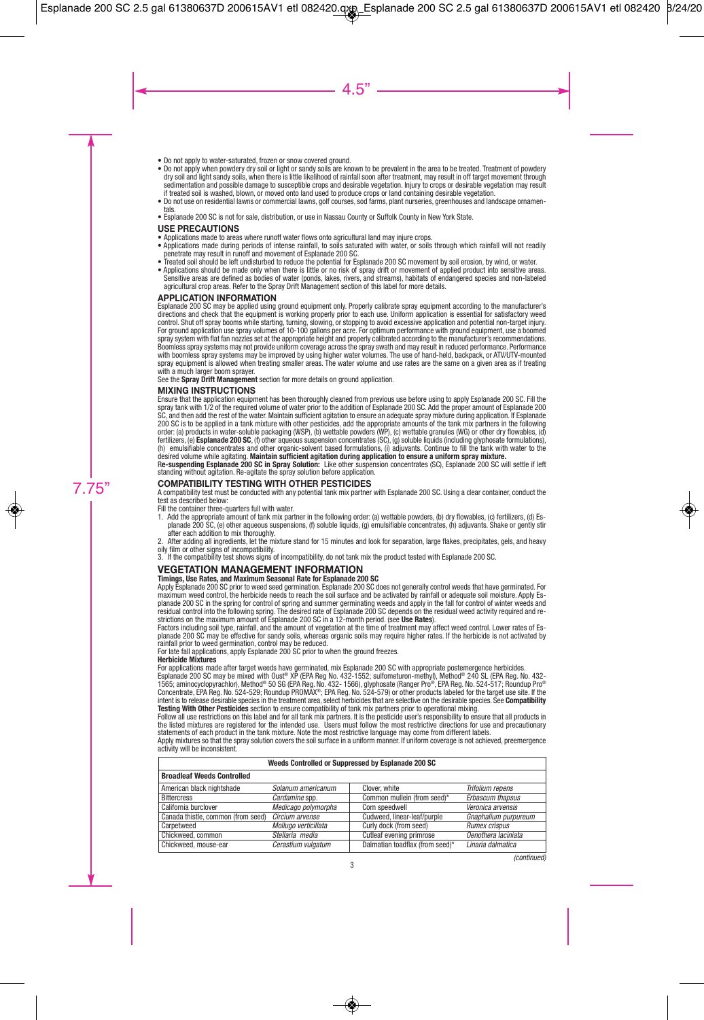- Do not apply to water-saturated, frozen or snow covered ground.
- Do not apply when powdery dry soil or light or sandy soils are known to be prevalent in the area to be treated. Treatment of powdery dry soil and light sandy soils, when there is little likelihood of rainfall soon after treatment, may result in off target movement through sedimentation and possible damage to susceptible crops and desirable vegetation. Injury to crops or desirable vegetation may result if treated soil is washed, blown, or moved onto land used to produce crops or land containing desirable vegetation.
- Do not use on residential lawns or commercial lawns, golf courses, sod farms, plant nurseries, greenhouses and landscape ornamentals.
- Esplanade 200 SC is not for sale, distribution, or use in Nassau County or Suffolk County in New York State.

#### **USE PRECAUTIONS**

- Applications made to areas where runoff water flows onto agricultural land may injure crops.
- Applications made during periods of intense rainfall, to soils saturated with water, or soils through which rainfall will not readily penetrate may result in runoff and movement of Esplanade 200 SC.
- Treated soil should be left undisturbed to reduce the potential for Esplanade 200 SC movement by soil erosion, by wind, or water.
- Applications should be made only when there is little or no risk of spray drift or movement of applied product into sensitive areas. Sensitive areas are defined as bodies of water (ponds, lakes, rivers, and streams), habitats of endangered species and non-labeled agricultural crop areas. Refer to the Spray Drift Management section of this label for more details.

#### **APPLICATION INFORMATION**

Esplanade 200 SC may be applied using ground equipment only. Properly calibrate spray equipment according to the manufacturer's directions and check that the equipment is working properly prior to each use. Uniform application is essential for satisfactory weed control. Shut off spray booms while starting, turning, slowing, or stopping to avoid excessive application and potential non-target injury. For ground application use spray volumes of 10-100 gallons per acre. For optimum performance with ground equipment, use a boomed spray system with flat fan nozzles set at the appropriate height and properly calibrated according to the manufacturer's recommendations. Boomless spray systems may not provide uniform coverage across the spray swath and may result in reduced performance. Performance with boomless spray systems may be improved by using higher water volumes. The use of hand-held, backpack, or ATV/UTV-mounted spray equipment is allowed when treating smaller areas. The water volume and use rates are the same on a given area as if treating with a much larger boom sprayer.

See the **Spray Drift Management** section for more details on ground application.

#### **MIXING INSTRUCTIONS**

Ensure that the application equipment has been thoroughly cleaned from previous use before using to apply Esplanade 200 SC. Fill the spray tank with 1/2 of the required volume of water prior to the addition of Esplanade 200 SC. Add the proper amount of Esplanade 200 SC, and then add the rest of the water. Maintain sufficient agitation to ensure an adequate spray mixture during application. If Esplanade 200 SC is to be applied in a tank mixture with other pesticides, add the appropriate amounts of the tank mix partners in the following order: (a) products in water-soluble packaging (WSP), (b) wettable powders (WP), (c) wettable granules (WG) or other dry flowables, (d)<br>fertilizers, (e) **Esplanade 200 SC**, (f) other aqueous suspension concentrates (SC), ( (h) emulsifiable concentrates and other organic-solvent based formulations, (i) adjuvants. Continue to fill the tank with water to the desired volume while agitating. **Maintain sufficient agitation during application to ensure a uniform spray mixture.** 

R**e-suspending Esplanade 200 SC in Spray Solution:** Like other suspension concentrates (SC), Esplanade 200 SC will settle if left standing without agitation. Re-agitate the spray solution before application.

#### **COMPATIBILITY TESTING WITH OTHER PESTICIDES**

A compatibility test must be conducted with any potential tank mix partner with Esplanade 200 SC. Using a clear container, conduct the test as described below:

Fill the container three-quarters full with water.

1. Add the appropriate amount of tank mix partner in the following order: (a) wettable powders, (b) dry flowables, (c) fertilizers, (d) Esplanade 200 SC, (e) other aqueous suspensions, (f) soluble liquids, (g) emulsifiable concentrates, (h) adjuvants. Shake or gently stir after each addition to mix thoroughly.

2. After adding all ingredients, let the mixture stand for 15 minutes and look for separation, large flakes, precipitates, gels, and heavy oily film or other signs of incompatibility.

3. If the compatibility test shows signs of incompatibility, do not tank mix the product tested with Esplanade 200 SC.

#### **VEGETATION MANAGEMENT INFORMATION**

#### **Timings, Use Rates, and Maximum Seasonal Rate for Esplanade 200 SC**

Apply Esplanade 200 SC prior to weed seed germination. Esplanade 200 SC does not generally control weeds that have germinated. For maximum weed control, the herbicide needs to reach the soil surface and be activated by rainfall or adequate soil moisture. Apply Esplanade 200 SC in the spring for control of spring and summer germinating weeds and apply in the fall for control of winter weeds and residual control into the following spring. The desired rate of Esplanade 200 SC depends on the residual weed activity required and restrictions on the maximum amount of Esplanade 200 SC in a 12-month period. (see **Use Rates**).

Factors including soil type, rainfall, and the amount of vegetation at the time of treatment may affect weed control. Lower rates of Esplanade 200 SC may be effective for sandy soils, whereas organic soils may require higher rates. If the herbicide is not activated by rainfall prior to weed germination, control may be reduced.

For late fall applications, apply Esplanade 200 SC prior to when the ground freezes.

#### **Herbicide Mixtures**

For applications made after target weeds have germinated, mix Esplanade 200 SC with appropriate postemergence herbicides.<br>Esplanade 200 SC may be mixed with Oust® XP (EPA Reg No. 432-1552; sulfometuron-methyl), Method® 24 1565; aminocyclopyrachlor), Method® 50 SG (EPA Reg. No. 432- 1566), glyphosate (Ranger Pro®, EPA Reg. No. 524-517; Roundup Pro®<br>Concentrate, EPA Reg. No. 524-529; Roundup PROMAX®; EPA Reg. No. 524-579) or other products l **Testing With Other Pesticides** section to ensure compatibility of tank mix partners prior to operational mixing.

Follow all use restrictions on this label and for all tank mix partners. It is the pesticide user's responsibility to ensure that all products in the listed mixtures are registered for the intended use. Users must follow the most restrictive directions for use and precautionary statements of each product in the tank mixture. Note the most restrictive language may come from different labels.

Apply mixtures so that the spray solution covers the soil surface in a uniform manner. If uniform coverage is not achieved, preemergence activity will be inconsistent.

| Weeds Controlled or Suppressed by Esplanade 200 SC |                      |                                 |                      |
|----------------------------------------------------|----------------------|---------------------------------|----------------------|
| <b>Broadleaf Weeds Controlled</b>                  |                      |                                 |                      |
| American black nightshade                          | Solanum americanum   | Clover, white                   | Trifolium repens     |
| <b>Bittercress</b>                                 | Cardamine spp.       | Common mullein (from seed)*     | Erbascum thapsus     |
| California burclover                               | Medicago polymorpha  | Corn speedwell                  | Veronica arvensis    |
| Canada thistle, common (from seed)                 | Circium arvense      | Cudweed, linear-leaf/purple     | Gnaphalium purpureum |
| Carpetweed                                         | Mollugo verticillata | Curly dock (from seed)          | <b>Rumex crispus</b> |
| Chickweed, common                                  | Stellaria media      | Cutleaf evening primrose        | Oenothera laciniata  |
| Chickweed, mouse-ear                               | Cerastium vulgatum   | Dalmatian toadflax (from seed)* | Linaria dalmatica    |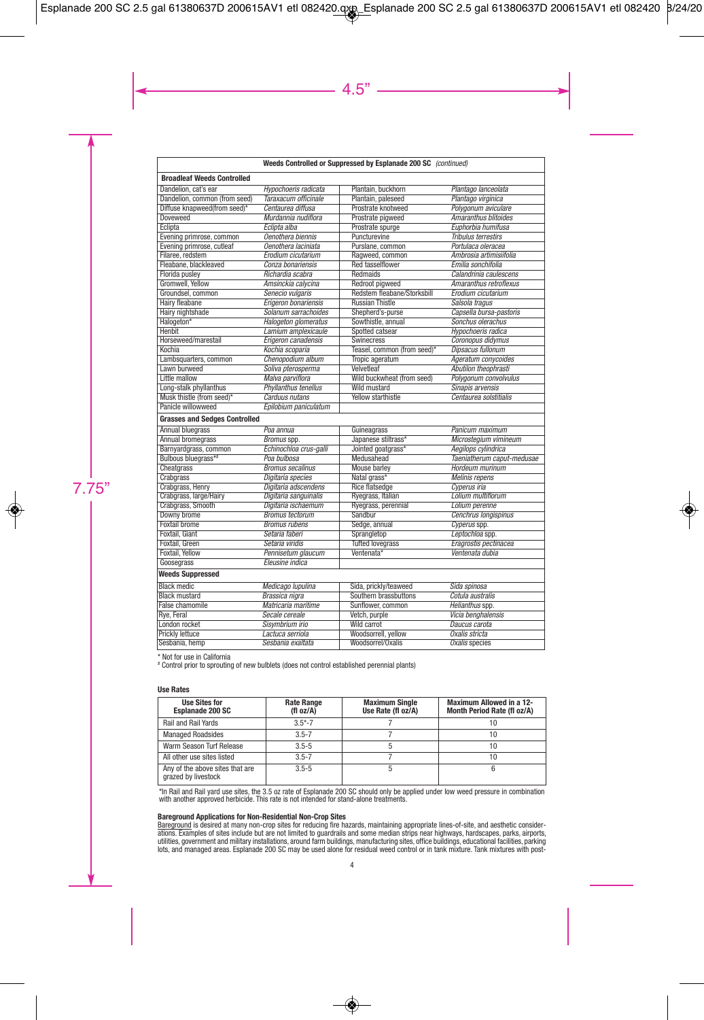#### **Weeds Controlled or Suppressed by Esplanade 200 SC** (continued)

| <b>Broadleaf Weeds Controlled</b>    |                             |                             |                             |
|--------------------------------------|-----------------------------|-----------------------------|-----------------------------|
| Dandelion, cat's ear                 | Hypochoeris radicata        | Plantain, buckhorn          | Plantago lanceolata         |
| Dandelion, common (from seed)        | Taraxacum officinale        | Plantain, paleseed          | Plantago virginica          |
| Diffuse knapweed(from seed)*         | Centaurea diffusa           | Prostrate knotweed          | Polygonum aviculare         |
| <b>Doveweed</b>                      | Murdannia nudiflora         | Prostrate pigweed           | <b>Amaranthus blitoides</b> |
| Eclipta                              | Eclipta alba                | Prostrate spurge            | Euphorbia humifusa          |
| Evening primrose, common             | Oenothera biennis           | Puncturevine                | <b>Tribulus terrestirs</b>  |
| Evening primrose, cutleaf            | Oenothera laciniata         | Purslane, common            | Portulaca oleracea          |
| Filaree, redstem                     | Erodium cicutarium          | Ragweed, common             | Ambrosia artimisiifolia     |
| Fleabane, blackleaved                | Conza bonariensis           | <b>Red tasselflower</b>     | Emilia sonchifolia          |
| Florida puslev                       | Richardia scabra            | Redmaids                    | Calandrinia caulescens      |
| Gromwell, Yellow                     | Amsinckia calycina          | Redroot pigweed             | Amaranthus retroflexus      |
| Groundsel, common                    | Senecio vulgaris            | Redstem fleabane/Storksbill | Erodium cicutarium          |
| Hairy fleabane                       | Erigeron bonariensis        | <b>Russian Thistle</b>      | Salsola tragus              |
| Hairy nightshade                     | Solanum sarrachoides        | Shepherd's-purse            | Capsella bursa-pastoris     |
| Halogeton*                           | <b>Halogeton glomeratus</b> | Sowthistle, annual          | Sonchus olerachus           |
| <b>Henbit</b>                        | Lamium amplexicaule         | Spotted catsear             | Hypochoeris radica          |
| Horseweed/marestail                  | Erigeron canadensis         | <b>Swinecress</b>           | Coronopus didymus           |
| Kochia                               | Kochia scoparia             | Teasel, common (from seed)* | <b>Dipsacus fullonum</b>    |
| Lambsquarters, common                | Chenopodium album           | Tropic ageratum             | Ageratum convcoides         |
| Lawn burweed                         | Soliva pterosperma          | Velvetleaf                  | Abutilon theophrasti        |
| Little mallow                        | Malva parviflora            | Wild buckwheat (from seed)  | Polygonum convolvulus       |
| Long-stalk phyllanthus               | <b>Phyllanthus tenellus</b> | Wild mustard                | Sinapis arvensis            |
| Musk thistle (from seed)*            | Carduus nutans              | <b>Yellow starthistle</b>   | Centaurea solstitialis      |
| Panicle willowweed                   | Epilobium paniculatum       |                             |                             |
| <b>Grasses and Sedges Controlled</b> |                             |                             |                             |
| <b>Annual bluegrass</b>              | Poa annua                   | Guineagrass                 | Panicum maximum             |
| <b>Annual bromegrass</b>             | Bromus spp.                 | Japanese stiltrass*         | Microstegium vimineum       |
| Barnyardgrass, common                | Echinochloa crus-galli      | Jointed goatgrass*          | <b>Aegilops cylindrica</b>  |
| Bulbous bluegrass**                  | Poa bulbosa                 | Medusahead                  | Taeniatherum caput-medusae  |
| <b>Cheatgrass</b>                    | <b>Bromus secalinus</b>     | <b>Mouse barley</b>         | Hordeum murinum             |
| Crabgrass                            | Digitaria species           | Natal grass*                | <b>Melinis repens</b>       |
| Crabgrass, Henry                     | Digitaria adscendens        | <b>Rice flatsedge</b>       | Cyperus iria                |
| Crabgrass, large/Hairy               | Digitaria sanguinalis       | Ryegrass, Italian           | Lolium multiflorum          |
| Crabgrass, Smooth                    | Digitaria ischaemum         | Ryegrass, perennial         | Lolium perenne              |
| Downy brome                          | <b>Bromus tectorum</b>      | Sandbur                     | Cenchrus longispinus        |
| <b>Foxtail brome</b>                 | <b>Bromus rubens</b>        | Sedge, annual               | Cyperus spp.                |
| <b>Foxtail, Giant</b>                | Setaria faberi              | Sprangletop                 | Leptochloa spp.             |
| Foxtail, Green                       | Setaria viridis             | <b>Tufted lovegrass</b>     | Eragrostis pectinacea       |
| Foxtail, Yellow                      | Pennisetum glaucum          | Ventenata*                  | Ventenata dubia             |
| Goosegrass                           | Eleusine indica             |                             |                             |
| <b>Weeds Suppressed</b>              |                             |                             |                             |
| <b>Black medic</b>                   | Medicago lupulina           | Sida, prickly/teaweed       | Sida spinosa                |
| <b>Black mustard</b>                 | <b>Brassica</b> nigra       | Southern brassbuttons       | Cotula australis            |
| False chamomile                      | Matricaria maritime         | Sunflower, common           | Helianthus spp.             |
| Rye, Feral                           | Secale cereale              | Vetch, purple               | Vicia benghalensis          |
| London rocket                        | Sisymbrium irio             | Wild carrot                 | Daucus carota               |
| Prickly lettuce                      | Lactuca serriola            | Woodsorrell, yellow         | Oxalis stricta              |
| Sesbania, hemp                       | Sesbania exaltata           | Woodsorrel/Oxalis           | <b>Oxalis species</b>       |
|                                      |                             |                             |                             |

\* Not for use in California

# Control prior to sprouting of new bulblets (does not control established perennial plants)

#### **Use Rates**

| <b>Use Sites for</b><br><b>Esplanade 200 SC</b>        | <b>Rate Range</b><br>(fl oz/A) | <b>Maximum Single</b><br>Use Rate (fl oz/A) | <b>Maximum Allowed in a 12-</b><br>Month Period Rate (fl oz/A) |
|--------------------------------------------------------|--------------------------------|---------------------------------------------|----------------------------------------------------------------|
| <b>Rail and Rail Yards</b>                             | $3.5*-7$                       |                                             |                                                                |
| <b>Managed Roadsides</b>                               | $3.5 - 7$                      |                                             |                                                                |
| Warm Season Turf Release                               | $3.5 - 5$                      |                                             |                                                                |
| All other use sites listed                             | $3.5 - 7$                      |                                             | 10                                                             |
| Any of the above sites that are<br>grazed by livestock | $3.5 - 5$                      |                                             |                                                                |

\*In Rail and Rail yard use sites, the 3.5 oz rate of Esplanade 200 SC should only be applied under low weed pressure in combination with another approved herbicide. This rate is not intended for stand-alone treatments.

#### **Bareground Applications for Non-Residential Non-Crop Sites**

<u>Bareground</u> is desired at many non-crop sites for reducing fire hazards, maintaining appropriate lines-of-site, and aesthetic consider-<br>ations. Examples of sites include but are not limited to guardrails and some median s utilities, government and military installations, around farm buildings, manufacturing sites, office buildings, educational facilities, parking<br>lots, and managed areas. Esplanade 200 SC may be used alone for residual weed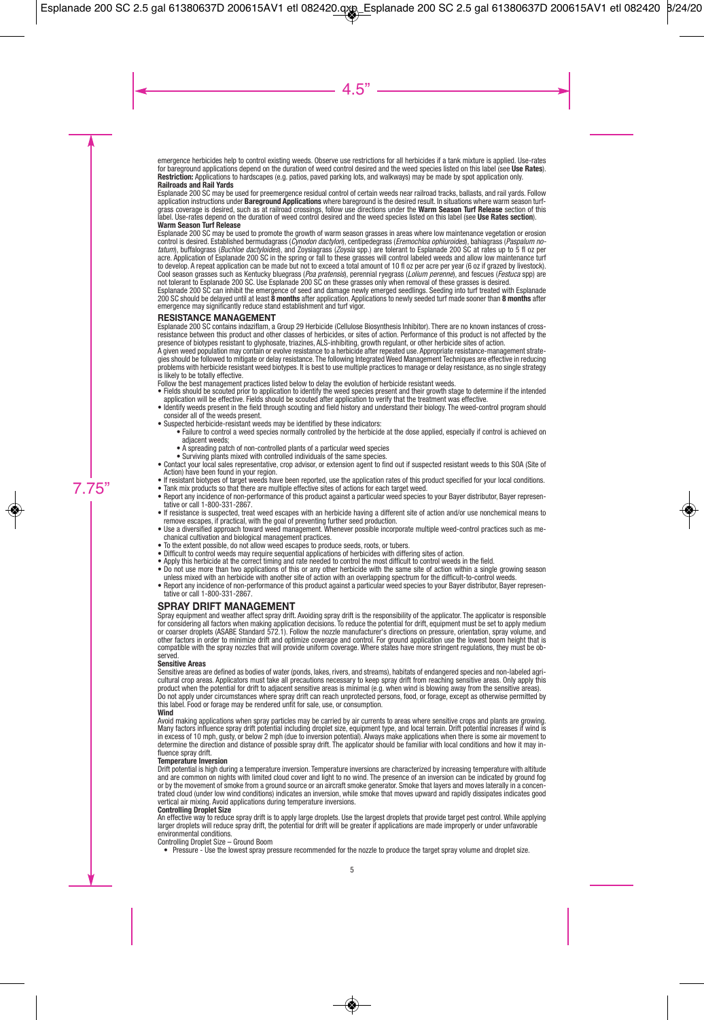emergence herbicides help to control existing weeds. Observe use restrictions for all herbicides if a tank mixture is applied. Use-rates for bareground applications depend on the duration of weed control desired and the weed species listed on this label (see **Use Rates**). **Restriction:** Applications to hardscapes (e.g. patios, paved parking lots, and walkways) may be made by spot application only. **Railroads and Rail Yards**

Esplanade 200 SC may be used for preemergence residual control of certain weeds near railroad tracks, ballasts, and rail yards. Follow application instructions under **Bareground Applications** where bareground is the desired result. In situations where warm season turfgrass coverage is desired, such as at railroad crossings, follow use directions under the **Warm Season Turf Release** section of this label. Use-rates depend on the duration of weed control desired and the weed species listed on this label (see **Use Rates section**). **Warm Season Turf Release**

Esplanade 200 SC may be used to promote the growth of warm season grasses in areas where low maintenance vegetation or erosion control is desired. Established bermudagrass (Cynodon dactylon), centipedegrass (Eremochloa ophiuroides), bahiagrass (Paspalum notatum), buffalograss (Buchloe dactyloides), and Zoysiagrass (Zoysia spp.) are tolerant to Esplanade 200 SC at rates up to 5 fl oz per acre. Application of Esplanade 200 SC in the spring or fall to these grasses will control labeled weeds and allow low maintenance turf to develop. A repeat application can be made but not to exceed a total amount of 10 fl oz per acre per year (6 oz if grazed by livestock). Cool season grasses such as Kentucky bluegrass (Poa pratensis), perennial ryegrass (Lolium perenne), and fescues (Festuca spp) are not tolerant to Esplanade 200 SC. Use Esplanade 200 SC on these grasses only when removal of these grasses is desired.

Esplanade 200 SC can inhibit the emergence of seed and damage newly emerged seedlings. Seeding into turf treated with Esplanade 200 SC should be delayed until at least **8 months** after application. Applications to newly seeded turf made sooner than **8 months** after emergence may significantly reduce stand establishment and turf vigor.

#### **RESISTANCE MANAGEMENT**

Esplanade 200 SC contains indaziflam, a Group 29 Herbicide (Cellulose Biosynthesis Inhibitor). There are no known instances of crossresistance between this product and other classes of herbicides, or sites of action. Performance of this product is not affected by the

presence of biotypes resistant to glyphosate, triazines, ALS-inhibiting, growth regulant, or other herbicide sites of action.<br>A given weed population may contain or evolve resistance to a herbicide after repeated use. Appr gies should be followed to mitigate or delay resistance. The following Integrated Weed Management Techniques are effective in reducing problems with herbicide resistant weed biotypes. It is best to use multiple practices to manage or delay resistance, as no single strategy is likely to be totally effective.

Follow the best management practices listed below to delay the evolution of herbicide resistant weeds.

- Fields should be scouted prior to application to identify the weed species present and their growth stage to determine if the intended application will be effective. Fields should be scouted after application to verify that the treatment was effective.
- Identify weeds present in the field through scouting and field history and understand their biology. The weed-control program should consider all of the weeds present.
- Suspected herbicide-resistant weeds may be identified by these indicators:
	- Failure to control a weed species normally controlled by the herbicide at the dose applied, especially if control is achieved on adjacent weeds;
	- A spreading patch of non-controlled plants of a particular weed species
	- Surviving plants mixed with controlled individuals of the same species.
- Contact your local sales representative, crop advisor, or extension agent to find out if suspected resistant weeds to this SOA (Site of Action) have been found in your region.
- If resistant biotypes of target weeds have been reported, use the application rates of this product specified for your local conditions.
- Tank mix products so that there are multiple effective sites of actions for each target weed. • Report any incidence of non-performance of this product against a particular weed species to your Bayer distributor, Bayer representative or call 1-800-331-2867.
- If resistance is suspected, treat weed escapes with an herbicide having a different site of action and/or use nonchemical means to remove escapes, if practical, with the goal of preventing further seed production.
- Use a diversified approach toward weed management. Whenever possible incorporate multiple weed-control practices such as mechanical cultivation and biological management practices.
- To the extent possible, do not allow weed escapes to produce seeds, roots, or tubers.
- Difficult to control weeds may require sequential applications of herbicides with differing sites of action.
- Apply this herbicide at the correct timing and rate needed to control the most difficult to control weeds in the field.
- Do not use more than two applications of this or any other herbicide with the same site of action within a single growing season unless mixed with an herbicide with another site of action with an overlapping spectrum for the difficult-to-control weeds.
- Report any incidence of non-performance of this product against a particular weed species to your Bayer distributor, Bayer representative or call 1-800-331-2867.

#### **SPRAY DRIFT MANAGEMENT**

Spray equipment and weather affect spray drift. Avoiding spray drift is the responsibility of the applicator. The applicator is responsible for considering all factors when making application decisions. To reduce the potential for drift, equipment must be set to apply medium or coarser droplets (ASABE Standard 572.1). Follow the nozzle manufacturer's directions on pressure, orientation, spray volume, and other factors in order to minimize drift and optimize coverage and control. For ground application use the lowest boom height that is compatible with the spray nozzles that will provide uniform coverage. Where states have more stringent regulations, they must be observed.

#### **Sensitive Areas**

Sensitive areas are defined as bodies of water (ponds, lakes, rivers, and streams), habitats of endangered species and non-labeled agricultural crop areas. Applicators must take all precautions necessary to keep spray drift from reaching sensitive areas. Only apply this product when the potential for drift to adjacent sensitive areas is minimal (e.g. when wind is blowing away from the sensitive areas).<br>Do not apply under circumstances where spray drift can reach unprotected persons, food, this label. Food or forage may be rendered unfit for sale, use, or consumption.

#### **Wind**

Avoid making applications when spray particles may be carried by air currents to areas where sensitive crops and plants are growing. Many factors influence spray drift potential including droplet size, equipment type, and local terrain. Drift potential increases if wind is in excess of 10 mph, gusty, or below 2 mph (due to inversion potential). Always make applications when there is some air movement to determine the direction and distance of possible spray drift. The applicator should be familiar with local conditions and how it may influence spray drift.

#### **Temperature Inversion**

Drift potential is high during a temperature inversion. Temperature inversions are characterized by increasing temperature with altitude and are common on nights with limited cloud cover and light to no wind. The presence of an inversion can be indicated by ground fog or by the movement of smoke from a ground source or an aircraft smoke generator. Smoke that layers and moves laterally in a concentrated cloud (under low wind conditions) indicates an inversion, while smoke that moves upward and rapidly dissipates indicates good vertical air mixing. Avoid applications during temperature inversions.

#### **Controlling Droplet Size**

An effective way to reduce spray drift is to apply large droplets. Use the largest droplets that provide target pest control. While applying larger droplets will reduce spray drift, the potential for drift will be greater if applications are made improperly or under unfavorable environmental conditions.

Controlling Droplet Size – Ground Boom

• Pressure - Use the lowest spray pressure recommended for the nozzle to produce the target spray volume and droplet size.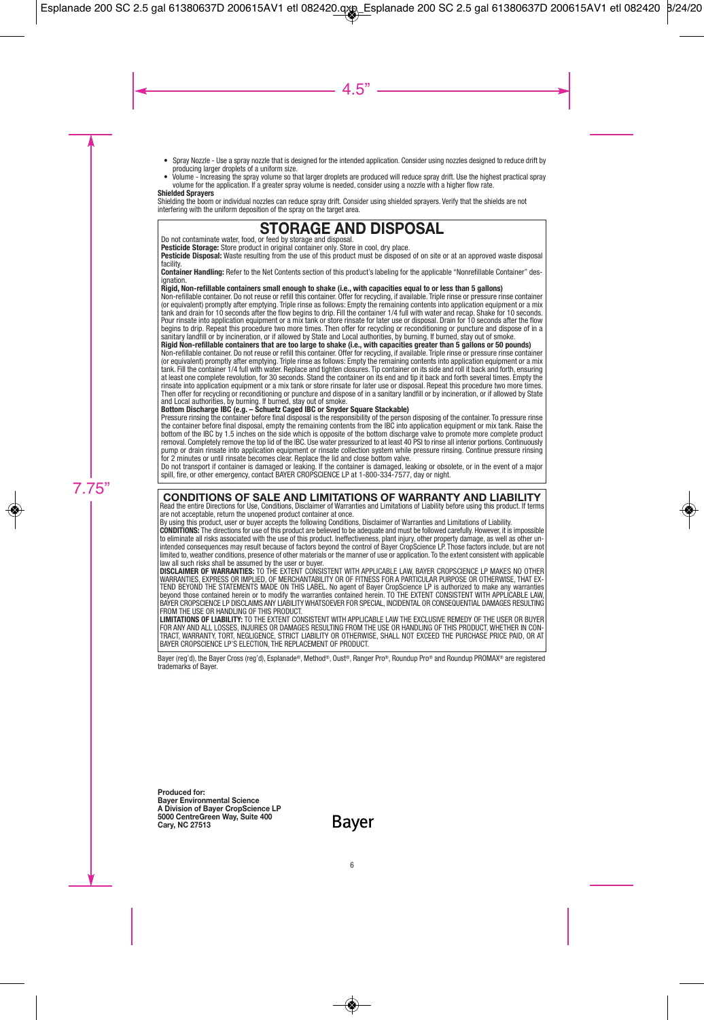- Spray Nozzle Use a spray nozzle that is designed for the intended application. Consider using nozzles designed to reduce drift by producing larger droplets of a uniform size.
- Volume Increasing the spray volume so that larger droplets are produced will reduce spray drift. Use the highest practical spray volume for the application. If a greater spray volume is needed, consider using a nozzle with a higher flow rate.

#### **Shielded Sprayers**

Shielding the boom or individual nozzles can reduce spray drift. Consider using shielded sprayers. Verify that the shields are not interfering with the uniform deposition of the spray on the target area.

# **STORAGE AND DISPOSAL**

Do not contaminate water, food, or feed by storage and disposal.

**Pesticide Storage:** Store product in original container only. Store in cool, dry place.

**Pesticide Disposal:** Waste resulting from the use of this product must be disposed of on site or at an approved waste disposal facility.

**Container Handling:** Refer to the Net Contents section of this product's labeling for the applicable "Nonrefillable Container" designation

#### **Rigid, Non-refillable containers small enough to shake (i.e., with capacities equal to or less than 5 gallons)**

Non-refillable container. Do not reuse or refill this container. Offer for recycling, if available. Triple rinse or pressure rinse container (or equivalent) promptly after emptying. Triple rinse as follows: Empty the remaining contents into application equipment or a mix<br>tank and drain for 10 seconds after the flow begins to drip. Fill the container 1/4 full wi Pour rinsate into application equipment or a mix tank or store rinsate for later use or disposal. Drain for 10 seconds after the flow begins to drip. Repeat this procedure two more times. Then offer for recycling or reconditioning or puncture and dispose of in a sanitary landfill or by incineration, or if allowed by State and Local authorities, by burning. If burned, stay out of smoke.

#### **Rigid Non-refillable containers that are too large to shake (i.e., with capacities greater than 5 gallons or 50 pounds)**

Non-refillable container. Do not reuse or refill this container. Offer for recycling, if available. Triple rinse or pressure rinse container (or equivalent) promptly after emptying. Triple rinse as follows: Empty the remaining contents into application equipment or a mix tank. Fill the container 1/4 full with water. Replace and tighten closures. Tip container on its side and roll it back and forth, ensuring at least one complete revolution, for 30 seconds. Stand the container on its end and tip it back and forth several times. Empty the rinsate into application equipment or a mix tank or store rinsate for later use or disposal. Repeat this procedure two more times. Then offer for recycling or reconditioning or puncture and dispose of in a sanitary landfill or by incineration, or if allowed by State and Local authorities, by burning. If burned, stay out of smoke.

#### **Bottom Discharge IBC (e.g. – Schuetz Caged IBC or Snyder Square Stackable)**

Pressure rinsing the container before final disposal is the responsibility of the person disposing of the container. To pressure rinse the container before final disposal, empty the remaining contents from the IBC into application equipment or mix tank. Raise the bottom of the IBC by 1.5 inches on the side which is opposite of the bottom discharge valve to promote more complete product removal. Completely remove the top lid of the IBC. Use water pressurized to at least 40 PSI to rinse all interior portions. Continuously pump or drain rinsate into application equipment or rinsate collection system while pressure rinsing. Continue pressure rinsing for 2 minutes or until rinsate becomes clear. Replace the lid and close bottom valve.

Do not transport if container is damaged or leaking. If the container is damaged, leaking or obsolete, or in the event of a major spill, fire, or other emergency, contact BAYER CROPSCIENCE LP at 1-800-334-7577, day or night.

#### **CONDITIONS OF SALE AND LIMITATIONS OF WARRANTY AND LIABILITY**

Read the entire Directions for Use, Conditions, Disclaimer of Warranties and Limitations of Liability before using this product. If terms are not acceptable, return the unopened product container at once.

By using this product, user or buyer accepts the following Conditions, Disclaimer of Warranties and Limitations of Liability.

**CONDITIONS:** The directions for use of this product are believed to be adequate and must be followed carefully. However, it is impossible to eliminate all risks associated with the use of this product. Ineffectiveness, plant injury, other property damage, as well as other unintended consequences may result because of factors beyond the control of Bayer CropScience LP. Those factors include, but are not limited to, weather conditions, presence of other materials or the manner of use or application. To the extent consistent with applicable law all such risks shall be assumed by the user or buyer.

**DISCLAIMER OF WARRANTIES:** TO THE EXTENT CONSISTENT WITH APPLICABLE LAW, BAYER CROPSCIENCE LP MAKES NO OTHER WARRANTIES, EXPRESS OR IMPLIED, OF MERCHANTABILITY OR OF FITNESS FOR A PARTICULAR PURPOSE OR OTHERWISE, THAT EX-TEND BEYOND THE STATEMENTS MADE ON THIS LABEL. No agent of Bayer CropScience LP is authorized to make any warranties<br>beyond those contained herein or to modify the warranties contained herein. TO THE EXTENT CONSISTENT WITH BAYER CROPSCIENCE LP DISCLAIMS ANY LIABILITY WHATSOEVER FOR SPECIAL, INCIDENTAL OR CONSEQUENTIAL DAMAGES RESULTING FROM THE USE OR HANDLING OF THIS PRODUCT.

**LIMITATIONS OF LIABILITY:** TO THE EXTENT CONSISTENT WITH APPLICABLE LAW THE EXCLUSIVE REMEDY OF THE USER OR BUYER FOR ANY AND ALL LOSSES, INJURIES OR DAMAGES RESULTING FROM THE USE OR HANDLING OF THIS PRODUCT, WHETHER IN CON-TRACT, WARRANTY, TORT, NEGLIGENCE, STRICT LIABILITY OR OTHERWISE, SHALL NOT EXCEED THE PURCHASE PRICE PAID, OR AT BAYER CROPSCIENCE LP'S ELECTION, THE REPLACEMENT OF PRODUCT.

Bayer (reg'd), the Bayer Cross (reg'd), Esplanade®, Method®, Oust®, Ranger Pro®, Roundup Pro® and Roundup PROMAX® are registered trademarks of Bayer.

**Produced for: Bayer Environmental Science A Division of Bayer CropScience LP 5000 CentreGreen Way, Suite 400 Cary, NC 27513**

Bayer